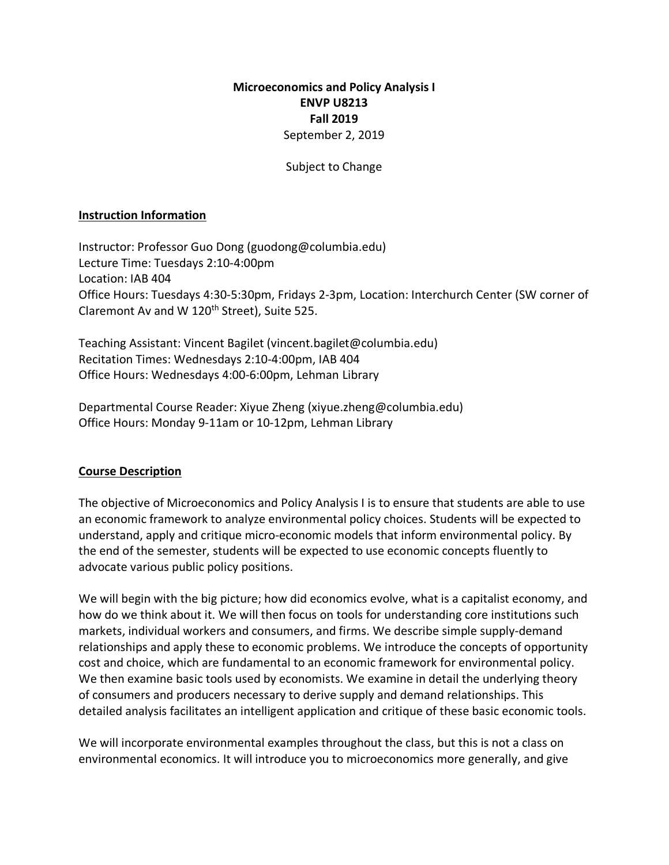## **Microeconomics and Policy Analysis I ENVP U8213 Fall 2019** September 2, 2019

#### Subject to Change

#### **Instruction Information**

Instructor: Professor Guo Dong (guodong@columbia.edu) Lecture Time: Tuesdays 2:10-4:00pm Location: IAB 404 Office Hours: Tuesdays 4:30-5:30pm, Fridays 2-3pm, Location: Interchurch Center (SW corner of Claremont Av and W 120<sup>th</sup> Street), Suite 525.

Teaching Assistant: Vincent Bagilet (vincent.bagilet@columbia.edu) Recitation Times: Wednesdays 2:10-4:00pm, IAB 404 Office Hours: Wednesdays 4:00-6:00pm, Lehman Library

Departmental Course Reader: Xiyue Zheng (xiyue.zheng@columbia.edu) Office Hours: Monday 9-11am or 10-12pm, Lehman Library

### **Course Description**

The objective of Microeconomics and Policy Analysis I is to ensure that students are able to use an economic framework to analyze environmental policy choices. Students will be expected to understand, apply and critique micro-economic models that inform environmental policy. By the end of the semester, students will be expected to use economic concepts fluently to advocate various public policy positions.

We will begin with the big picture; how did economics evolve, what is a capitalist economy, and how do we think about it. We will then focus on tools for understanding core institutions such markets, individual workers and consumers, and firms. We describe simple supply-demand relationships and apply these to economic problems. We introduce the concepts of opportunity cost and choice, which are fundamental to an economic framework for environmental policy. We then examine basic tools used by economists. We examine in detail the underlying theory of consumers and producers necessary to derive supply and demand relationships. This detailed analysis facilitates an intelligent application and critique of these basic economic tools.

We will incorporate environmental examples throughout the class, but this is not a class on environmental economics. It will introduce you to microeconomics more generally, and give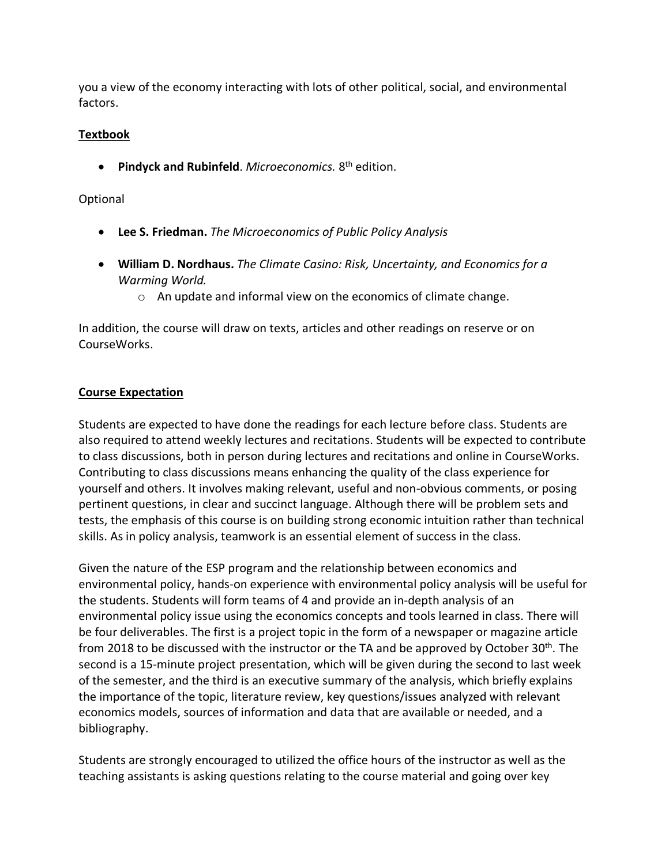you a view of the economy interacting with lots of other political, social, and environmental factors.

# **Textbook**

• **Pindyck and Rubinfeld**. *Microeconomics.* 8th edition.

## Optional

- **Lee S. Friedman.** *The Microeconomics of Public Policy Analysis*
- **William D. Nordhaus.** *The Climate Casino: Risk, Uncertainty, and Economics for a Warming World.*
	- o An update and informal view on the economics of climate change.

In addition, the course will draw on texts, articles and other readings on reserve or on CourseWorks.

# **Course Expectation**

Students are expected to have done the readings for each lecture before class. Students are also required to attend weekly lectures and recitations. Students will be expected to contribute to class discussions, both in person during lectures and recitations and online in CourseWorks. Contributing to class discussions means enhancing the quality of the class experience for yourself and others. It involves making relevant, useful and non-obvious comments, or posing pertinent questions, in clear and succinct language. Although there will be problem sets and tests, the emphasis of this course is on building strong economic intuition rather than technical skills. As in policy analysis, teamwork is an essential element of success in the class.

Given the nature of the ESP program and the relationship between economics and environmental policy, hands-on experience with environmental policy analysis will be useful for the students. Students will form teams of 4 and provide an in-depth analysis of an environmental policy issue using the economics concepts and tools learned in class. There will be four deliverables. The first is a project topic in the form of a newspaper or magazine article from 2018 to be discussed with the instructor or the TA and be approved by October 30<sup>th</sup>. The second is a 15-minute project presentation, which will be given during the second to last week of the semester, and the third is an executive summary of the analysis, which briefly explains the importance of the topic, literature review, key questions/issues analyzed with relevant economics models, sources of information and data that are available or needed, and a bibliography.

Students are strongly encouraged to utilized the office hours of the instructor as well as the teaching assistants is asking questions relating to the course material and going over key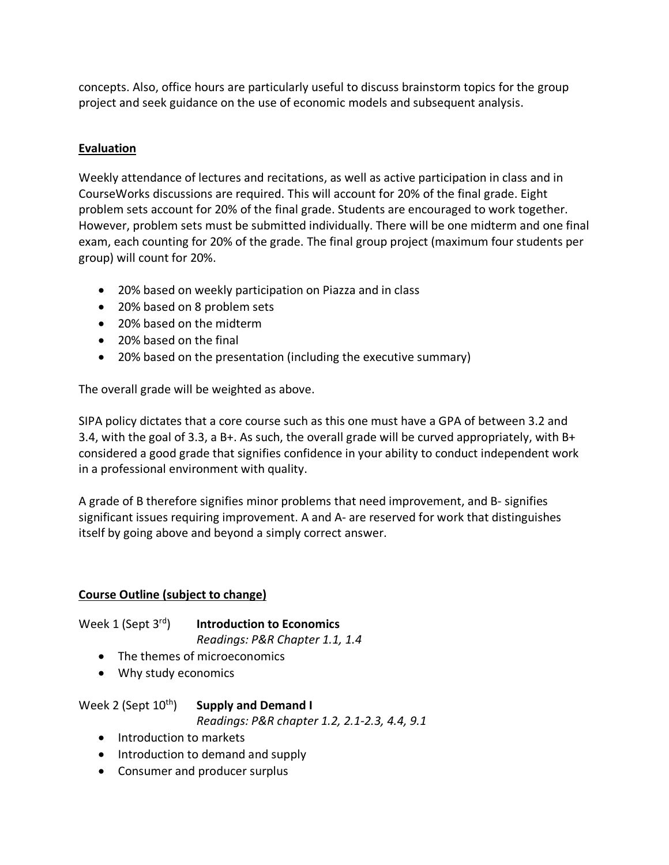concepts. Also, office hours are particularly useful to discuss brainstorm topics for the group project and seek guidance on the use of economic models and subsequent analysis.

# **Evaluation**

Weekly attendance of lectures and recitations, as well as active participation in class and in CourseWorks discussions are required. This will account for 20% of the final grade. Eight problem sets account for 20% of the final grade. Students are encouraged to work together. However, problem sets must be submitted individually. There will be one midterm and one final exam, each counting for 20% of the grade. The final group project (maximum four students per group) will count for 20%.

- 20% based on weekly participation on Piazza and in class
- 20% based on 8 problem sets
- 20% based on the midterm
- 20% based on the final
- 20% based on the presentation (including the executive summary)

The overall grade will be weighted as above.

SIPA policy dictates that a core course such as this one must have a GPA of between 3.2 and 3.4, with the goal of 3.3, a B+. As such, the overall grade will be curved appropriately, with B+ considered a good grade that signifies confidence in your ability to conduct independent work in a professional environment with quality.

A grade of B therefore signifies minor problems that need improvement, and B- signifies significant issues requiring improvement. A and A- are reserved for work that distinguishes itself by going above and beyond a simply correct answer.

## **Course Outline (subject to change)**

Week 1 (Sept 3rd) **Introduction to Economics** *Readings: P&R Chapter 1.1, 1.4*

- The themes of microeconomics
- Why study economics

Week 2 (Sept 10th) **Supply and Demand I**

*Readings: P&R chapter 1.2, 2.1-2.3, 4.4, 9.1*

- Introduction to markets
- Introduction to demand and supply
- Consumer and producer surplus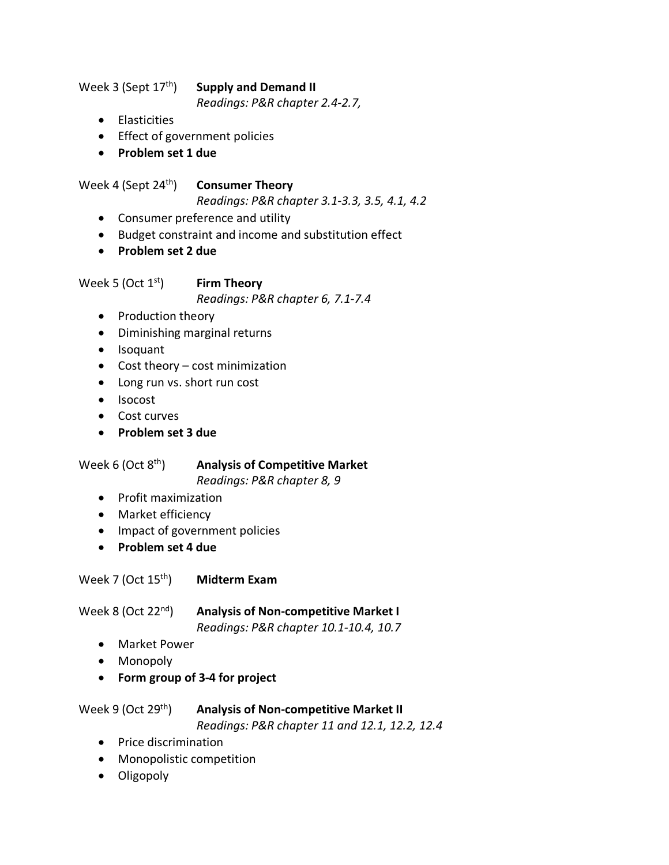Week 3 (Sept 17th) **Supply and Demand II**

*Readings: P&R chapter 2.4-2.7,* 

- Elasticities
- Effect of government policies
- **Problem set 1 due**

Week 4 (Sept 24th) **Consumer Theory**

*Readings: P&R chapter 3.1-3.3, 3.5, 4.1, 4.2*

- Consumer preference and utility
- Budget constraint and income and substitution effect
- **Problem set 2 due**

Week 5 (Oct 1<sup>st</sup>) **Firm Theory** 

*Readings: P&R chapter 6, 7.1-7.4*

- Production theory
- Diminishing marginal returns
- Isoquant
- Cost theory cost minimization
- Long run vs. short run cost
- Isocost
- Cost curves
- **Problem set 3 due**

## Week 6 (Oct 8th) **Analysis of Competitive Market**

*Readings: P&R chapter 8, 9*

- Profit maximization
- Market efficiency
- Impact of government policies
- **Problem set 4 due**

Week 7 (Oct 15th) **Midterm Exam**

Week 8 (Oct 22nd) **Analysis of Non-competitive Market I**

*Readings: P&R chapter 10.1-10.4, 10.7*

- Market Power
- Monopoly
- **Form group of 3-4 for project**

# Week 9 (Oct 29th) **Analysis of Non-competitive Market II**

*Readings: P&R chapter 11 and 12.1, 12.2, 12.4*

- Price discrimination
- Monopolistic competition
- Oligopoly